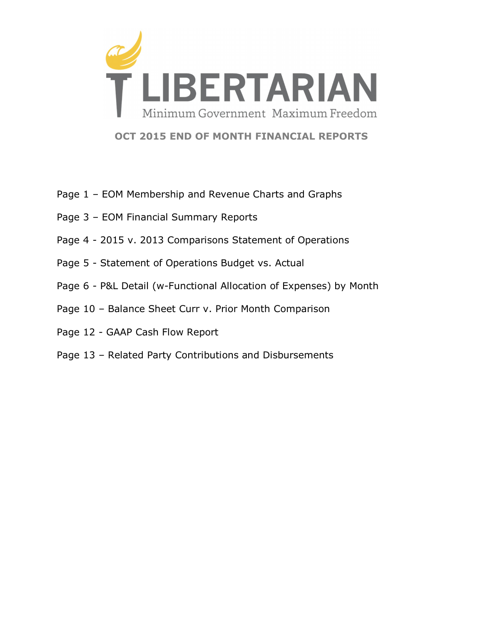

**OCT 2015 END OF MONTH FINANCIAL REPORTS**

- Page 1 EOM Membership and Revenue Charts and Graphs
- Page 3 EOM Financial Summary Reports
- Page 4 2015 v. 2013 Comparisons Statement of Operations
- Page 5 Statement of Operations Budget vs. Actual
- Page 6 P&L Detail (w-Functional Allocation of Expenses) by Month
- Page 10 Balance Sheet Curr v. Prior Month Comparison
- Page 12 GAAP Cash Flow Report
- Page 13 Related Party Contributions and Disbursements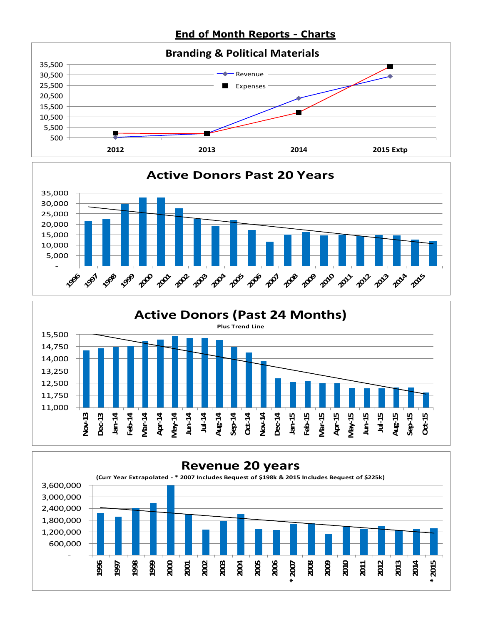**End of Month Reports - Charts**







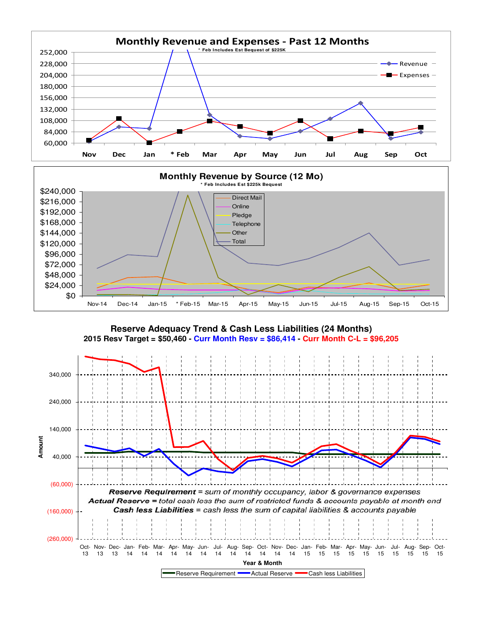



**Reserve Adequacy Trend & Cash Less Liabilities (24 Months) 2015 Resv Target = \$50,460 - Curr Month Resv = \$86,414 - Curr Month C-L = \$96,205**

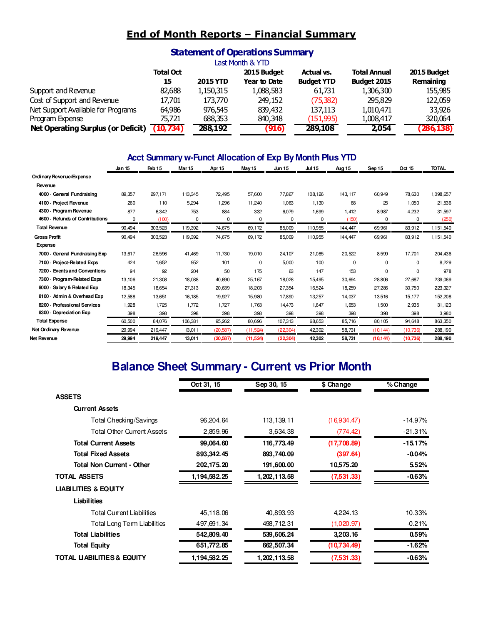## **End of Month Reports – Financial Summary**

### **Statement of Operations Summary**

|                                    | Last Month & YTD |                 |              |                   |                     |             |  |  |  |  |  |  |
|------------------------------------|------------------|-----------------|--------------|-------------------|---------------------|-------------|--|--|--|--|--|--|
|                                    | <b>Total Oct</b> |                 | 2015 Budget  | Actual vs.        | <b>Total Annual</b> | 2015 Budget |  |  |  |  |  |  |
|                                    | 15               | <b>2015 YTD</b> | Year to Date | <b>Budget YTD</b> | Budget 2015         | Remaining   |  |  |  |  |  |  |
| Support and Revenue                | 82,688           | 1,150,315       | 1,088,583    | 61,731            | 1,306,300           | 155,985     |  |  |  |  |  |  |
| Cost of Support and Revenue        | 17,701           | 173,770         | 249,152      | (75, 382)         | 295,829             | 122,059     |  |  |  |  |  |  |
| Net Support Available for Programs | 64,986           | 976,545         | 839,432      | 137,113           | 1,010,471           | 33,926      |  |  |  |  |  |  |
| Program Expense                    | 75.721           | 688,353         | 840,348      | (151,995)         | 1,008,417           | 320,064     |  |  |  |  |  |  |
| Net Operating Surplus (or Deficit) | (10, 734)        | 288,192         | (916)        | 289,108           | 2.054               | (286, 138)  |  |  |  |  |  |  |

#### **Acct Summary w-Funct Allocation of Exp By Month Plus YTD**

|                                         | Jan 15 | Feb 15  | Mar <sub>15</sub> | Apr 15    | May 15    | <b>Jun 15</b> | <b>Jul 15</b> | <b>Aug 15</b> | Sep 15      | Oct 15    | <b>TOTAL</b> |
|-----------------------------------------|--------|---------|-------------------|-----------|-----------|---------------|---------------|---------------|-------------|-----------|--------------|
| Ordinary Revenue/Expense                |        |         |                   |           |           |               |               |               |             |           |              |
| Revenue                                 |        |         |                   |           |           |               |               |               |             |           |              |
| 4000 General Fundraising                | 89.357 | 297,171 | 113,345           | 72.495    | 57,600    | 77,867        | 108,126       | 143.117       | 60.949      | 78,630    | 1,098,657    |
| 4100 - Project Revenue                  | 260    | 110     | 5,294             | 1,296     | 11,240    | 1,063         | 1,130         | 68            | 25          | 1,050     | 21,536       |
| 4300 - Program Revenue                  | 877    | 6,342   | 753               | 884       | 332       | 6,079         | 1,699         | 1.412         | 8,987       | 4,232     | 31,597       |
| <b>Refunds of Contributions</b><br>4600 | 0      | (100)   | 0                 | $\Omega$  | 0         | 0             | 0             | (150)         | 0           | 0         | (250)        |
| <b>Total Revenue</b>                    | 90,494 | 303,523 | 119,392           | 74,675    | 69,172    | 85,009        | 110,955       | 144,447       | 69,961      | 83,912    | 1,151,540    |
| <b>Gross Profit</b>                     | 90,494 | 303,523 | 119,392           | 74,675    | 69,172    | 85,009        | 110,955       | 144,447       | 69,961      | 83,912    | 1,151,540    |
| Expense                                 |        |         |                   |           |           |               |               |               |             |           |              |
| 7000 General Fundraising Exp            | 13,617 | 26,596  | 41,469            | 11,730    | 19,010    | 24,107        | 21,085        | 20,522        | 8,599       | 17,701    | 204,436      |
| 7100 - Project-Related Exps             | 424    | 1,652   | 952               | 101       | 0         | 5,000         | 100           | 0             | $\mathbf 0$ | 0         | 8,229        |
| 7200 Events and Conventions             | 94     | 92      | 204               | 50        | 175       | 63            | 147           | 153           | $\mathbf 0$ | 0         | 978          |
| 7300 - Program-Related Exps             | 13.106 | 21,308  | 18,088            | 40.690    | 25.167    | 18,028        | 15,495        | 30.694        | 28,806      | 27,687    | 239,069      |
| $8000 -$<br>Salary & Related Exp        | 18,345 | 18,654  | 27,313            | 20,639    | 18,203    | 27,354        | 16,524        | 18,259        | 27,286      | 30,750    | 223,327      |
| 8100 Admin & Overhead Exp               | 12,588 | 13,651  | 16,185            | 19,927    | 15,980    | 17,890        | 13,257        | 14,037        | 13,516      | 15,177    | 152,208      |
| <b>Professional Services</b><br>8200    | 1,928  | 1,725   | 1,772             | 1,727     | 1,763     | 14,473        | 1.647         | 1,653         | 1,500       | 2,935     | 31,123       |
| 8300<br>Depreciation Exp                | 398    | 398     | 398               | 398       | 398       | 398           | 398           | 398           | 398         | 398       | 3,980        |
| <b>Total Expense</b>                    | 60,500 | 84,076  | 106,381           | 95,262    | 80,696    | 107,313       | 68,653        | 85.716        | 80,105      | 94,648    | 863,350      |
| Net Ordinary Revenue                    | 29,994 | 219,447 | 13,011            | (20, 587) | (11, 524) | (22, 304)     | 42,302        | 58,731        | (10, 144)   | (10,736)  | 288,190      |
| Net Revenue                             | 29,994 | 219,447 | 13,011            | (20, 587) | (11, 524) | (22, 304)     | 42,302        | 58,731        | (10, 144)   | (10, 736) | 288,190      |

# **Balance Sheet Summary - Current vs Prior Month**

|                                       | Oct 31, 15   | Sep 30, 15      | \$ Change   | % Change  |
|---------------------------------------|--------------|-----------------|-------------|-----------|
| <b>ASSETS</b>                         |              |                 |             |           |
| <b>Current Assets</b>                 |              |                 |             |           |
| Total Checking/Savings                | 96,204.64    | 113,139.11      | (16,934.47) | $-14.97%$ |
| <b>Total Other Current Assets</b>     | 2,859.96     | 3,634.38        | (774.42)    | $-21.31%$ |
| <b>Total Current Assets</b>           | 99,064.60    | 116,773.49      | (17,708.89) | $-15.17%$ |
| <b>Total Fixed Assets</b>             | 893,342.45   | 893,740.09      | (397.64)    | $-0.04%$  |
| <b>Total Non Current - Other</b>      | 202,175.20   | 191,600.00      | 10,575.20   | 5.52%     |
| <b>TOTAL ASSETS</b>                   | 1,194,582.25 | 1, 202, 113.58  | (7,531.33)  | $-0.63%$  |
| <b>LIABILITIES &amp; EQUITY</b>       |              |                 |             |           |
| <b>Liabilities</b>                    |              |                 |             |           |
| <b>Total Current Liabilities</b>      | 45,118.06    | 40,893.93       | 4,224.13    | 10.33%    |
| Total Long Term Liabilities           | 497,691.34   | 498,712.31      | (1,020.97)  | $-0.21%$  |
| <b>Total Liabilities</b>              | 542,809.40   | 539,606.24      | 3,203.16    | 0.59%     |
| <b>Total Equity</b>                   | 651,772.85   | 662,507.34      | (10,734.49) | $-1.62%$  |
| <b>TOTAL LIABILITIES &amp; EQUITY</b> | 1,194,582.25 | 1, 202, 113, 58 | (7,531.33)  | $-0.63%$  |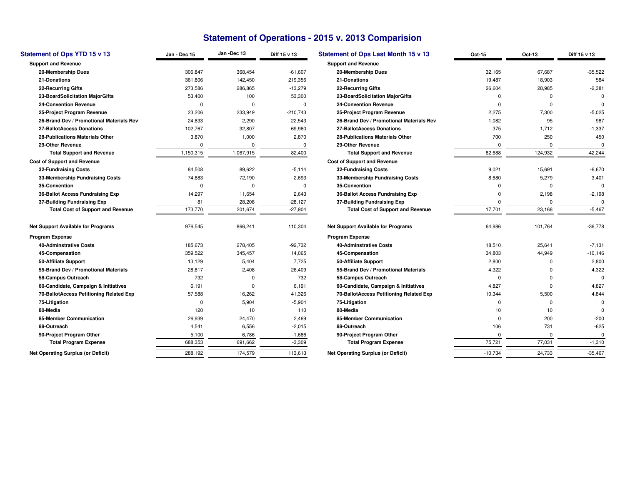## **Statement of Operations - 2015 v. 2013 Comparision**

| Statement of Ops YTD 15 v 13              | Jan - Dec 15 | Jan -Dec 13 | Diff 15 v 13 | <b>Statement of Ops Last Month 15 v 13</b> |
|-------------------------------------------|--------------|-------------|--------------|--------------------------------------------|
| <b>Support and Revenue</b>                |              |             |              | <b>Support and Revenue</b>                 |
| 20-Membership Dues                        | 306,847      | 368,454     | $-61,607$    | 20-Membership Dues                         |
| 21-Donations                              | 361,806      | 142,450     | 219,356      | 21-Donations                               |
| <b>22-Recurring Gifts</b>                 | 273,586      | 286.865     | $-13,279$    | 22-Recurring Gifts                         |
| 23-BoardSolicitation MajorGifts           | 53,400       | 100         | 53.300       | 23-BoardSolicitation MajorGifts            |
| <b>24-Convention Revenue</b>              | 0            | 0           | 0            | <b>24-Convention Revenue</b>               |
| 25-Project Program Revenue                | 23,206       | 233,949     | $-210,743$   | 25-Project Program Revenue                 |
| 26-Brand Dev / Promotional Materials Rev  | 24,833       | 2,290       | 22,543       | 26-Brand Dev / Promotional Materials I     |
| 27-BallotAccess Donations                 | 102,767      | 32,807      | 69,960       | 27-BallotAccess Donations                  |
| 28-Publications Materials Other           | 3,870        | 1,000       | 2,870        | 28-Publications Materials Other            |
| 29-Other Revenue                          | 0            | 0           | 0            | 29-Other Revenue                           |
| <b>Total Support and Revenue</b>          | 1,150,315    | 1,067,915   | 82,400       | <b>Total Support and Revenue</b>           |
| <b>Cost of Support and Revenue</b>        |              |             |              | <b>Cost of Support and Revenue</b>         |
| 32-Fundraising Costs                      | 84,508       | 89,622      | $-5,114$     | 32-Fundraising Costs                       |
| 33-Membership Fundraising Costs           | 74,883       | 72,190      | 2,693        | 33-Membership Fundraising Costs            |
| 35-Convention                             | $\Omega$     | 0           | $\Omega$     | 35-Convention                              |
| 36-Ballot Access Fundraising Exp          | 14,297       | 11,654      | 2.643        | 36-Ballot Access Fundraising Exp           |
| 37-Building Fundraising Exp               | 81           | 28,208      | $-28,127$    | 37-Building Fundraising Exp                |
| <b>Total Cost of Support and Revenue</b>  | 173,770      | 201,674     | $-27,904$    | <b>Total Cost of Support and Revenu</b>    |
| <b>Net Support Available for Programs</b> | 976,545      | 866,241     | 110,304      | <b>Net Support Available for Programs</b>  |
| <b>Program Expense</b>                    |              |             |              | Program Expense                            |
| <b>40-Adminstrative Costs</b>             | 185,673      | 278,405     | $-92,732$    | <b>40-Adminstrative Costs</b>              |
| 45-Compensation                           | 359,522      | 345,457     | 14,065       | 45-Compensation                            |
| 50-Affiliate Support                      | 13,129       | 5,404       | 7,725        | 50-Affiliate Support                       |
| 55-Brand Dev / Promotional Materials      | 28,817       | 2,408       | 26,409       | 55-Brand Dev / Promotional Materials       |
| 58-Campus Outreach                        | 732          | 0           | 732          | 58-Campus Outreach                         |
| 60-Candidate, Campaign & Initiatives      | 6,191        | 0           | 6,191        | 60-Candidate, Campaign & Initiatives       |
| 70-BallotAccess Petitioning Related Exp   | 57.588       | 16,262      | 41,326       | 70-BallotAccess Petitioning Related Ex     |
| 75-Litigation                             | 0            | 5,904       | $-5,904$     | 75-Litigation                              |
| 80-Media                                  | 120          | 10          | 110          | 80-Media                                   |
| 85-Member Communication                   | 26,939       | 24,470      | 2,469        | 85-Member Communication                    |
| 88-Outreach                               | 4,541        | 6,556       | $-2,015$     | 88-Outreach                                |
| 90-Project Program Other                  | 5,100        | 6,786       | $-1,686$     | 90-Project Program Other                   |
| <b>Total Program Expense</b>              | 688,353      | 691,662     | $-3,309$     | <b>Total Program Expense</b>               |
| <b>Net Operating Surplus (or Deficit)</b> | 288,192      | 174,579     | 113,613      | <b>Net Operating Surplus (or Deficit)</b>  |

| Ops YTD 15 v 13                   | Jan - Dec 15 | Jan-Dec 13  | Diff 15 v 13 | <b>Statement of Ops Last Month 15 v 13</b> | Oct-15    | Oct-13      | Diff 15 v 13 |
|-----------------------------------|--------------|-------------|--------------|--------------------------------------------|-----------|-------------|--------------|
| Revenue                           |              |             |              | <b>Support and Revenue</b>                 |           |             |              |
| bership Dues                      | 306,847      | 368,454     | $-61,607$    | 20-Membership Dues                         | 32,165    | 67,687      | $-35,522$    |
| ıtions                            | 361,806      | 142,450     | 219,356      | 21-Donations                               | 19,487    | 18,903      | 584          |
| rring Gifts                       | 273,586      | 286,865     | $-13,279$    | 22-Recurring Gifts                         | 26,604    | 28,985      | $-2,381$     |
| dSolicitation MajorGifts          | 53,400       | 100         | 53,300       | 23-BoardSolicitation MajorGifts            | $\Omega$  | $\Omega$    | $\Omega$     |
| ention Revenue                    | $\Omega$     | $\mathbf 0$ | $\Omega$     | <b>24-Convention Revenue</b>               | $\Omega$  | $\mathbf 0$ | $\Omega$     |
| ect Program Revenue               | 23,206       | 233,949     | -210,743     | 25-Project Program Revenue                 | 2,275     | 7,300       | $-5,025$     |
| d Dev / Promotional Materials Rev | 24,833       | 2,290       | 22,543       | 26-Brand Dev / Promotional Materials Rev   | 1,082     | 95          | 987          |
| tAccess Donations                 | 102,767      | 32,807      | 69,960       | 27-BallotAccess Donations                  | 375       | 1,712       | $-1,337$     |
| ications Materials Other          | 3,870        | 1,000       | 2,870        | 28-Publications Materials Other            | 700       | 250         | 450          |
| r Revenue                         | $\mathbf 0$  | $\mathbf 0$ | 0            | 29-Other Revenue                           | $\Omega$  | $\Omega$    | $\Omega$     |
| al Support and Revenue            | 1,150,315    | 1,067,915   | 82,400       | <b>Total Support and Revenue</b>           | 82,688    | 124,932     | $-42,244$    |
| port and Revenue                  |              |             |              | <b>Cost of Support and Revenue</b>         |           |             |              |
| <b>Iraising Costs</b>             | 84,508       | 89,622      | $-5,114$     | 32-Fundraising Costs                       | 9,021     | 15,691      | $-6,670$     |
| bership Fundraising Costs         | 74,883       | 72,190      | 2,693        | 33-Membership Fundraising Costs            | 8,680     | 5,279       | 3,401        |
| ention                            | $\Omega$     | $\mathbf 0$ | 0            | 35-Convention                              | $\Omega$  | $^{\circ}$  | $\Omega$     |
| t Access Fundraising Exp          | 14,297       | 11,654      | 2,643        | 36-Ballot Access Fundraising Exp           | $\Omega$  | 2,198       | $-2,198$     |
| ling Fundraising Exp              | 81           | 28,208      | $-28,127$    | 37-Building Fundraising Exp                | $\Omega$  |             | $\Omega$     |
| al Cost of Support and Revenue    | 173.770      | 201,674     | $-27,904$    | <b>Total Cost of Support and Revenue</b>   | 17,701    | 23,168      | $-5,467$     |
| <b>Available for Programs</b>     | 976,545      | 866,241     | 110,304      | <b>Net Support Available for Programs</b>  | 64,986    | 101,764     | $-36,778$    |
| pense                             |              |             |              | <b>Program Expense</b>                     |           |             |              |
| instrative Costs                  | 185,673      | 278,405     | $-92,732$    | <b>40-Adminstrative Costs</b>              | 18,510    | 25,641      | $-7,131$     |
| pensation                         | 359,522      | 345,457     | 14,065       | 45-Compensation                            | 34,803    | 44,949      | $-10, 146$   |
| ate Support                       | 13,129       | 5,404       | 7,725        | 50-Affiliate Support                       | 2,800     | 0           | 2,800        |
| d Dev / Promotional Materials     | 28,817       | 2,408       | 26,409       | 55-Brand Dev / Promotional Materials       | 4,322     | $\Omega$    | 4,322        |
| pus Outreach                      | 732          | $\mathbf 0$ | 732          | 58-Campus Outreach                         | $\Omega$  | $\Omega$    | $\Omega$     |
| lidate, Campaign & Initiatives    | 6,191        | $\mathbf 0$ | 6,191        | 60-Candidate, Campaign & Initiatives       | 4,827     | $\Omega$    | 4,827        |
| tAccess Petitioning Related Exp   | 57,588       | 16,262      | 41,326       | 70-BallotAccess Petitioning Related Exp    | 10,344    | 5,500       | 4,844        |
| ation                             | $\Omega$     | 5,904       | $-5,904$     | 75-Litigation                              | $\Omega$  | $\Omega$    |              |
|                                   | 120          | 10          | 110          | 80-Media                                   | 10        | 10          |              |
| ber Communication                 | 26,939       | 24,470      | 2,469        | 85-Member Communication                    | $\Omega$  | 200         | $-200$       |
| each                              | 4,541        | 6,556       | $-2,015$     | 88-Outreach                                | 106       | 731         | $-625$       |
| ect Program Other                 | 5,100        | 6,786       | $-1,686$     | 90-Project Program Other                   | 0         | $\Omega$    | $\Omega$     |
| al Program Expense                | 688,353      | 691,662     | $-3,309$     | <b>Total Program Expense</b>               | 75,721    | 77,031      | $-1,310$     |
| ng Surplus (or Deficit)           | 288,192      | 174,579     | 113,613      | <b>Net Operating Surplus (or Deficit)</b>  | $-10,734$ | 24,733      | $-35,467$    |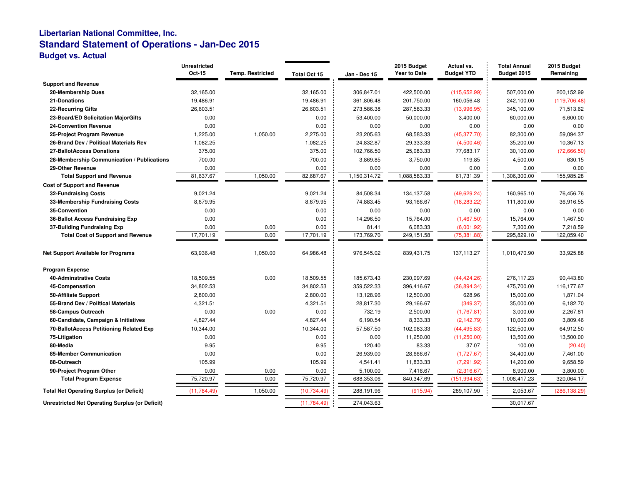#### **Libertarian National Committee, Inc. Standard Statement of Operations - Jan-Dec 2015Budget vs. Actual**

|                                                        | <b>Unrestricted</b><br>Oct-15 | <b>Temp. Restricted</b> | Total Oct 15 | Jan - Dec 15 | 2015 Budget<br>Year to Date | Actual vs.<br><b>Budget YTD</b> | <b>Total Annual</b><br>Budget 2015 | 2015 Budget<br>Remaining |
|--------------------------------------------------------|-------------------------------|-------------------------|--------------|--------------|-----------------------------|---------------------------------|------------------------------------|--------------------------|
| <b>Support and Revenue</b>                             |                               |                         |              |              |                             |                                 |                                    |                          |
| 20-Membership Dues                                     | 32,165.00                     |                         | 32,165.00    | 306,847.01   | 422,500.00                  | (115, 652.99)                   | 507,000.00                         | 200,152.99               |
| 21-Donations                                           | 19,486.91                     |                         | 19,486.91    | 361,806.48   | 201,750.00                  | 160,056.48                      | 242,100.00                         | (119, 706.48)            |
| <b>22-Recurring Gifts</b>                              | 26,603.51                     |                         | 26,603.51    | 273,586.38   | 287,583.33                  | (13,996.95)                     | 345,100.00                         | 71,513.62                |
| 23-Board/ED Solicitation MajorGifts                    | 0.00                          |                         | 0.00         | 53,400.00    | 50,000.00                   | 3,400.00                        | 60,000.00                          | 6,600.00                 |
| <b>24-Convention Revenue</b>                           | 0.00                          |                         | 0.00         | 0.00         | 0.00                        | 0.00                            | 0.00                               | 0.00                     |
| 25-Project Program Revenue                             | 1,225.00                      | 1,050.00                | 2,275.00     | 23,205.63    | 68,583.33                   | (45, 377.70)                    | 82,300.00                          | 59,094.37                |
| 26-Brand Dev / Political Materials Rev                 | 1,082.25                      |                         | 1,082.25     | 24,832.87    | 29,333.33                   | (4,500.46)                      | 35,200.00                          | 10,367.13                |
| 27-BallotAccess Donations                              | 375.00                        |                         | 375.00       | 102,766.50   | 25,083.33                   | 77,683.17                       | 30,100.00                          | (72,666.50)              |
| 28-Membership Communication / Publications             | 700.00                        |                         | 700.00       | 3,869.85     | 3,750.00                    | 119.85                          | 4,500.00                           | 630.15                   |
| 29-Other Revenue                                       | 0.00                          |                         | 0.00         | 0.00         | 0.00                        | 0.00                            | 0.00                               | 0.00                     |
| <b>Total Support and Revenue</b>                       | 81,637.67                     | 1,050.00                | 82,687.67    | 1,150,314.72 | 1,088,583.33                | 61,731.39                       | 1,306,300.00                       | 155,985.28               |
| <b>Cost of Support and Revenue</b>                     |                               |                         |              |              |                             |                                 |                                    |                          |
| 32-Fundraising Costs                                   | 9,021.24                      |                         | 9,021.24     | 84,508.34    | 134,137.58                  | (49,629.24)                     | 160,965.10                         | 76,456.76                |
| 33-Membership Fundraising Costs                        | 8,679.95                      |                         | 8,679.95     | 74,883.45    | 93,166.67                   | (18, 283.22)                    | 111,800.00                         | 36,916.55                |
| 35-Convention                                          | 0.00                          |                         | 0.00         | 0.00         | 0.00                        | 0.00                            | 0.00                               | 0.00                     |
| 36-Ballot Access Fundraising Exp                       | 0.00                          |                         | 0.00         | 14,296.50    | 15,764.00                   | (1,467.50)                      | 15,764.00                          | 1,467.50                 |
| 37-Building Fundraising Exp                            | 0.00                          | 0.00                    | 0.00         | 81.41        | 6,083.33                    | (6,001.92)                      | 7,300.00                           | 7,218.59                 |
| <b>Total Cost of Support and Revenue</b>               | 17,701.19                     | 0.00                    | 17,701.19    | 173,769.70   | 249,151.58                  | (75, 381.88)                    | 295,829.10                         | 122,059.40               |
| <b>Net Support Available for Programs</b>              | 63,936.48                     | 1,050.00                | 64,986.48    | 976,545.02   | 839,431.75                  | 137,113.27                      | 1,010,470.90                       | 33,925.88                |
| <b>Program Expense</b>                                 |                               |                         |              |              |                             |                                 |                                    |                          |
| <b>40-Adminstrative Costs</b>                          | 18,509.55                     | 0.00                    | 18,509.55    | 185,673.43   | 230,097.69                  | (44, 424.26)                    | 276,117.23                         | 90,443.80                |
| 45-Compensation                                        | 34,802.53                     |                         | 34,802.53    | 359,522.33   | 396,416.67                  | (36,894.34)                     | 475,700.00                         | 116,177.67               |
| 50-Affiliate Support                                   | 2,800.00                      |                         | 2,800.00     | 13,128.96    | 12,500.00                   | 628.96                          | 15,000.00                          | 1,871.04                 |
| 55-Brand Dev / Political Materials                     | 4,321.51                      |                         | 4,321.51     | 28,817.30    | 29,166.67                   | (349.37)                        | 35,000.00                          | 6,182.70                 |
| 58-Campus Outreach                                     | 0.00                          | 0.00                    | 0.00         | 732.19       | 2,500.00                    | (1,767.81)                      | 3,000.00                           | 2,267.81                 |
| 60-Candidate, Campaign & Initiatives                   | 4,827.44                      |                         | 4,827.44     | 6,190.54     | 8,333.33                    | (2, 142.79)                     | 10,000.00                          | 3,809.46                 |
| 70-BallotAccess Petitioning Related Exp                | 10,344.00                     |                         | 10,344.00    | 57,587.50    | 102,083.33                  | (44, 495.83)                    | 122,500.00                         | 64,912.50                |
| 75-Litigation                                          | 0.00                          |                         | 0.00         | 0.00         | 11,250.00                   | (11,250.00)                     | 13,500.00                          | 13,500.00                |
| 80-Media                                               | 9.95                          |                         | 9.95         | 120.40       | 83.33                       | 37.07                           | 100.00                             | (20.40)                  |
| <b>85-Member Communication</b>                         | 0.00                          |                         | 0.00         | 26,939.00    | 28,666.67                   | (1,727.67)                      | 34,400.00                          | 7,461.00                 |
| 88-Outreach                                            | 105.99                        |                         | 105.99       | 4,541.41     | 11,833.33                   | (7, 291.92)                     | 14,200.00                          | 9,658.59                 |
| 90-Project Program Other                               | 0.00                          | 0.00                    | 0.00         | 5,100.00     | 7,416.67                    | (2,316.67)                      | 8,900.00                           | 3,800.00                 |
| <b>Total Program Expense</b>                           | 75,720.97                     | 0.00                    | 75,720.97    | 688,353.06   | 840,347.69                  | (151, 994.63)                   | 1,008,417.23                       | 320,064.17               |
| <b>Total Net Operating Surplus (or Deficit)</b>        | (11, 784.49)                  | 1,050.00                | (10, 734.49) | 288,191.96   | (915.94)                    | 289,107.90                      | 2,053.67                           | (286, 138.29)            |
| <b>Unrestricted Net Operating Surplus (or Deficit)</b> |                               |                         | (11,784.49)  | 274,043.63   |                             |                                 | 30,017.67                          |                          |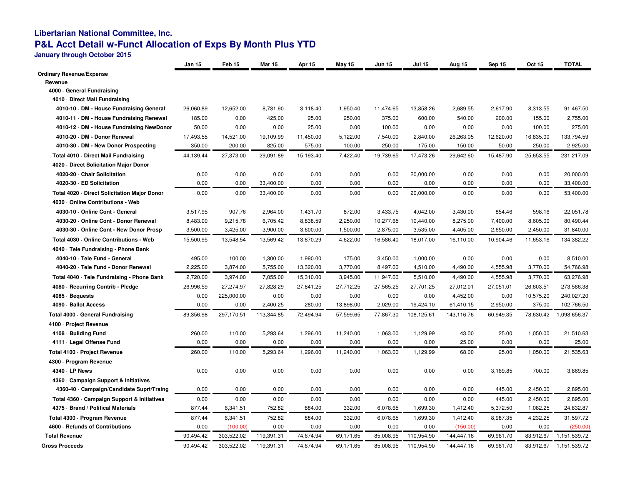## **Libertarian National Committee, Inc.P&L Acct Detail w-Funct Allocation of Exps By Month Plus YTD**

**January through October 2015**

|                                              | Jan 15    | Feb 15     | <b>Mar 15</b> | Apr 15    | <b>May 15</b> | <b>Jun 15</b> | <b>Jul 15</b> | Aug 15     | Sep 15    | Oct 15    | <b>TOTAL</b> |
|----------------------------------------------|-----------|------------|---------------|-----------|---------------|---------------|---------------|------------|-----------|-----------|--------------|
| <b>Ordinary Revenue/Expense</b>              |           |            |               |           |               |               |               |            |           |           |              |
| Revenue                                      |           |            |               |           |               |               |               |            |           |           |              |
| 4000 General Fundraising                     |           |            |               |           |               |               |               |            |           |           |              |
| 4010 Direct Mail Fundraising                 |           |            |               |           |               |               |               |            |           |           |              |
| 4010-10 DM - House Fundraising General       | 26,060.89 | 12,652.00  | 8,731.90      | 3,118.40  | 1,950.40      | 11,474.65     | 13,858.26     | 2,689.55   | 2,617.90  | 8,313.55  | 91,467.50    |
| 4010-11 DM - House Fundraising Renewal       | 185.00    | 0.00       | 425.00        | 25.00     | 250.00        | 375.00        | 600.00        | 540.00     | 200.00    | 155.00    | 2,755.00     |
| 4010-12 · DM - House Fundraising NewDonor    | 50.00     | 0.00       | 0.00          | 25.00     | 0.00          | 100.00        | 0.00          | 0.00       | 0.00      | 100.00    | 275.00       |
| 4010-20 · DM - Donor Renewal                 | 17,493.55 | 14,521.00  | 19,109.99     | 11,450.00 | 5,122.00      | 7,540.00      | 2,840.00      | 26,263.05  | 12,620.00 | 16,835.00 | 133,794.59   |
| 4010-30 · DM - New Donor Prospecting         | 350.00    | 200.00     | 825.00        | 575.00    | 100.00        | 250.00        | 175.00        | 150.00     | 50.00     | 250.00    | 2,925.00     |
| Total 4010 Direct Mail Fundraising           | 44,139.44 | 27,373.00  | 29,091.89     | 15,193.40 | 7,422.40      | 19,739.65     | 17,473.26     | 29,642.60  | 15,487.90 | 25,653.55 | 231,217.09   |
| 4020 Direct Solicitation Major Donor         |           |            |               |           |               |               |               |            |           |           |              |
| 4020-20 - Chair Solicitation                 | 0.00      | 0.00       | 0.00          | 0.00      | 0.00          | 0.00          | 20,000.00     | 0.00       | 0.00      | 0.00      | 20,000.00    |
| 4020-30 - ED Solicitation                    | 0.00      | 0.00       | 33,400.00     | 0.00      | 0.00          | 0.00          | 0.00          | 0.00       | 0.00      | 0.00      | 33,400.00    |
| Total 4020 - Direct Solicitation Major Donor | 0.00      | 0.00       | 33,400.00     | 0.00      | 0.00          | 0.00          | 20,000.00     | 0.00       | 0.00      | 0.00      | 53,400.00    |
| 4030 - Online Contributions - Web            |           |            |               |           |               |               |               |            |           |           |              |
| 4030-10 Online Cont - General                | 3,517.95  | 907.76     | 2,964.00      | 1,431.70  | 872.00        | 3,433.75      | 4,042.00      | 3,430.00   | 854.46    | 598.16    | 22,051.78    |
| 4030-20 Online Cont - Donor Renewal          | 8,483.00  | 9,215.78   | 6,705.42      | 8,838.59  | 2,250.00      | 10,277.65     | 10,440.00     | 8,275.00   | 7,400.00  | 8,605.00  | 80,490.44    |
| 4030-30 Online Cont - New Donor Prosp        | 3,500.00  | 3,425.00   | 3,900.00      | 3,600.00  | 1,500.00      | 2,875.00      | 3,535.00      | 4,405.00   | 2,650.00  | 2,450.00  | 31,840.00    |
| Total 4030 - Online Contributions - Web      | 15,500.95 | 13,548.54  | 13,569.42     | 13,870.29 | 4,622.00      | 16,586.40     | 18,017.00     | 16,110.00  | 10,904.46 | 11,653.16 | 134,382.22   |
| 4040 · Tele Fundraising - Phone Bank         |           |            |               |           |               |               |               |            |           |           |              |
| 4040-10 · Tele Fund - General                | 495.00    | 100.00     | 1,300.00      | 1,990.00  | 175.00        | 3,450.00      | 1,000.00      | 0.00       | 0.00      | 0.00      | 8,510.00     |
| 4040-20 · Tele Fund - Donor Renewal          | 2,225.00  | 3,874.00   | 5,755.00      | 13,320.00 | 3,770.00      | 8,497.00      | 4,510.00      | 4,490.00   | 4,555.98  | 3,770.00  | 54,766.98    |
| Total 4040 · Tele Fundraising - Phone Bank   | 2,720.00  | 3,974.00   | 7,055.00      | 15,310.00 | 3,945.00      | 11,947.00     | 5,510.00      | 4,490.00   | 4,555.98  | 3,770.00  | 63,276.98    |
| 4080 - Recurring Contrib - Pledge            | 26,996.59 | 27,274.97  | 27,828.29     | 27,841.25 | 27,712.25     | 27,565.25     | 27,701.25     | 27,012.01  | 27,051.01 | 26,603.51 | 273,586.38   |
| 4085 · Bequests                              | 0.00      | 225,000.00 | 0.00          | 0.00      | 0.00          | 0.00          | 0.00          | 4,452.00   | 0.00      | 10,575.20 | 240,027.20   |
| 4090 · Ballot Access                         | 0.00      | 0.00       | 2,400.25      | 280.00    | 13,898.00     | 2,029.00      | 19,424.10     | 61,410.15  | 2,950.00  | 375.00    | 102,766.50   |
| Total 4000 General Fundraising               | 89,356.98 | 297,170.51 | 113.344.85    | 72.494.94 | 57.599.65     | 77.867.30     | 108.125.61    | 143,116.76 | 60,949.35 | 78,630.42 | 1,098,656.37 |
| 4100 - Project Revenue                       |           |            |               |           |               |               |               |            |           |           |              |
| 4108 - Building Fund                         | 260.00    | 110.00     | 5,293.64      | 1,296.00  | 11,240.00     | 1,063.00      | 1,129.99      | 43.00      | 25.00     | 1,050.00  | 21,510.63    |
| 4111 · Legal Offense Fund                    | 0.00      | 0.00       | 0.00          | 0.00      | 0.00          | 0.00          | 0.00          | 25.00      | 0.00      | 0.00      | 25.00        |
| Total 4100 - Project Revenue                 | 260.00    | 110.00     | 5,293.64      | 1,296.00  | 11,240.00     | 1,063.00      | 1,129.99      | 68.00      | 25.00     | 1,050.00  | 21,535.63    |
| 4300 - Program Revenue                       |           |            |               |           |               |               |               |            |           |           |              |
| 4340 - LP News                               | 0.00      | 0.00       | 0.00          | 0.00      | 0.00          | 0.00          | 0.00          | 0.00       | 3,169.85  | 700.00    | 3,869.85     |
| 4360 Campaign Support & Initiatives          |           |            |               |           |               |               |               |            |           |           |              |
| 4360-40 Campaign/Candidate Suprt/Traing      | 0.00      | 0.00       | 0.00          | 0.00      | 0.00          | 0.00          | 0.00          | 0.00       | 445.00    | 2,450.00  | 2,895.00     |
| Total 4360 - Campaign Support & Initiatives  | 0.00      | 0.00       | 0.00          | 0.00      | 0.00          | 0.00          | 0.00          | 0.00       | 445.00    | 2,450.00  | 2,895.00     |
| 4375 · Brand / Political Materials           | 877.44    | 6,341.51   | 752.82        | 884.00    | 332.00        | 6,078.65      | 1,699.30      | 1,412.40   | 5,372.50  | 1,082.25  | 24,832.87    |
| Total 4300 · Program Revenue                 | 877.44    | 6,341.51   | 752.82        | 884.00    | 332.00        | 6,078.65      | 1,699.30      | 1,412.40   | 8,987.35  | 4,232.25  | 31,597.72    |
| 4600 · Refunds of Contributions              | 0.00      | (100.00)   | 0.00          | 0.00      | 0.00          | 0.00          | 0.00          | (150.00)   | 0.00      | 0.00      | (250.00)     |
| <b>Total Revenue</b>                         | 90,494.42 | 303,522.02 | 119,391.31    | 74,674.94 | 69,171.65     | 85,008.95     | 110,954.90    | 144,447.16 | 69,961.70 | 83,912.67 | 1,151,539.72 |
| <b>Gross Proceeds</b>                        | 90,494.42 | 303,522.02 | 119,391.31    | 74,674.94 | 69,171.65     | 85,008.95     | 110,954.90    | 144,447.16 | 69,961.70 | 83,912.67 | 1,151,539.72 |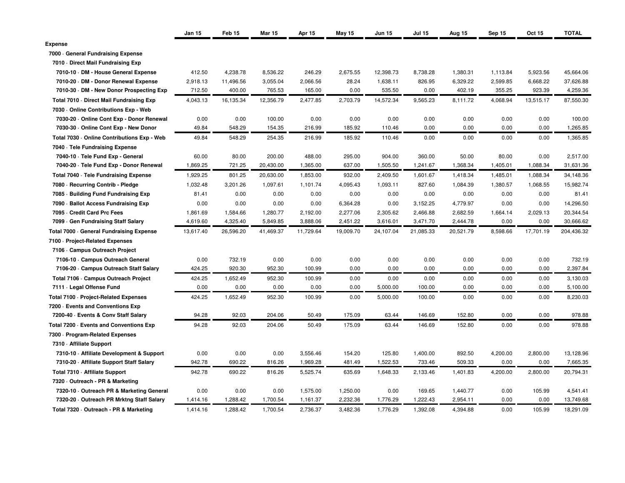|                                             | Jan 15    | Feb <sub>15</sub> | <b>Mar 15</b> | <b>Apr 15</b> | <b>May 15</b> | <b>Jun 15</b> | <b>Jul 15</b> | Aug 15    | Sep 15   | <b>Oct 15</b> | <b>TOTAL</b> |
|---------------------------------------------|-----------|-------------------|---------------|---------------|---------------|---------------|---------------|-----------|----------|---------------|--------------|
| <b>Expense</b>                              |           |                   |               |               |               |               |               |           |          |               |              |
| 7000 General Fundraising Expense            |           |                   |               |               |               |               |               |           |          |               |              |
| 7010 Direct Mail Fundraising Exp            |           |                   |               |               |               |               |               |           |          |               |              |
| 7010-10 · DM - House General Expense        | 412.50    | 4,238.78          | 8,536.22      | 246.29        | 2,675.55      | 12,398.73     | 8,738.28      | 1,380.31  | 1,113.84 | 5,923.56      | 45,664.06    |
| 7010-20 · DM - Donor Renewal Expense        | 2,918.13  | 11,496.56         | 3,055.04      | 2,066.56      | 28.24         | 1,638.11      | 826.95        | 6,329.22  | 2,599.85 | 6,668.22      | 37,626.88    |
| 7010-30 DM - New Donor Prospecting Exp      | 712.50    | 400.00            | 765.53        | 165.00        | 0.00          | 535.50        | 0.00          | 402.19    | 355.25   | 923.39        | 4,259.36     |
| Total 7010 Direct Mail Fundraising Exp      | 4,043.13  | 16,135.34         | 12,356.79     | 2,477.85      | 2,703.79      | 14,572.34     | 9,565.23      | 8,111.72  | 4,068.94 | 13,515.17     | 87,550.30    |
| 7030 - Online Contributions Exp - Web       |           |                   |               |               |               |               |               |           |          |               |              |
| 7030-20 Online Cont Exp - Donor Renewal     | 0.00      | 0.00              | 100.00        | 0.00          | 0.00          | 0.00          | 0.00          | 0.00      | 0.00     | 0.00          | 100.00       |
| 7030-30 Online Cont Exp - New Donor         | 49.84     | 548.29            | 154.35        | 216.99        | 185.92        | 110.46        | 0.00          | 0.00      | 0.00     | 0.00          | 1,265.85     |
| Total 7030 - Online Contributions Exp - Web | 49.84     | 548.29            | 254.35        | 216.99        | 185.92        | 110.46        | 0.00          | 0.00      | 0.00     | 0.00          | 1,365.85     |
| 7040 - Tele Fundraising Expense             |           |                   |               |               |               |               |               |           |          |               |              |
| 7040-10 · Tele Fund Exp - General           | 60.00     | 80.00             | 200.00        | 488.00        | 295.00        | 904.00        | 360.00        | 50.00     | 80.00    | 0.00          | 2,517.00     |
| 7040-20 · Tele Fund Exp - Donor Renewal     | 1,869.25  | 721.25            | 20,430.00     | 1,365.00      | 637.00        | 1,505.50      | 1,241.67      | 1,368.34  | 1,405.01 | 1,088.34      | 31,631.36    |
| Total 7040 - Tele Fundraising Expense       | 1,929.25  | 801.25            | 20,630.00     | 1,853.00      | 932.00        | 2,409.50      | 1,601.67      | 1,418.34  | 1,485.01 | 1,088.34      | 34,148.36    |
| 7080 - Recurring Contrib - Pledge           | 1,032.48  | 3,201.26          | 1,097.61      | 1,101.74      | 4,095.43      | 1,093.11      | 827.60        | 1,084.39  | 1,380.57 | 1,068.55      | 15,982.74    |
| 7085 Building Fund Fundraising Exp          | 81.41     | 0.00              | 0.00          | 0.00          | 0.00          | 0.00          | 0.00          | 0.00      | 0.00     | 0.00          | 81.41        |
| 7090 Ballot Access Fundraising Exp          | 0.00      | 0.00              | 0.00          | 0.00          | 6,364.28      | 0.00          | 3,152.25      | 4,779.97  | 0.00     | 0.00          | 14,296.50    |
| 7095 - Credit Card Prc Fees                 | 1,861.69  | 1,584.66          | 1,280.77      | 2,192.00      | 2,277.06      | 2,305.62      | 2,466.88      | 2,682.59  | 1,664.14 | 2,029.13      | 20,344.54    |
| 7099 Gen Fundraising Staff Salary           | 4,619.60  | 4,325.40          | 5,849.85      | 3,888.06      | 2,451.22      | 3,616.01      | 3,471.70      | 2,444.78  | 0.00     | 0.00          | 30,666.62    |
| Total 7000 General Fundraising Expense      | 13,617.40 | 26,596.20         | 41,469.37     | 11,729.64     | 19,009.70     | 24,107.04     | 21,085.33     | 20,521.79 | 8,598.66 | 17,701.19     | 204,436.32   |
| 7100 - Project-Related Expenses             |           |                   |               |               |               |               |               |           |          |               |              |
| 7106 - Campus Outreach Project              |           |                   |               |               |               |               |               |           |          |               |              |
| 7106-10 - Campus Outreach General           | 0.00      | 732.19            | 0.00          | 0.00          | 0.00          | 0.00          | 0.00          | 0.00      | 0.00     | 0.00          | 732.19       |
| 7106-20 - Campus Outreach Staff Salary      | 424.25    | 920.30            | 952.30        | 100.99        | 0.00          | 0.00          | 0.00          | 0.00      | 0.00     | 0.00          | 2,397.84     |
| Total 7106 - Campus Outreach Project        | 424.25    | 1,652.49          | 952.30        | 100.99        | 0.00          | 0.00          | 0.00          | 0.00      | 0.00     | 0.00          | 3,130.03     |
| 7111 - Legal Offense Fund                   | 0.00      | 0.00              | 0.00          | 0.00          | 0.00          | 5,000.00      | 100.00        | 0.00      | 0.00     | 0.00          | 5,100.00     |
| Total 7100 - Project-Related Expenses       | 424.25    | 1,652.49          | 952.30        | 100.99        | 0.00          | 5,000.00      | 100.00        | 0.00      | 0.00     | 0.00          | 8,230.03     |
| 7200 - Events and Conventions Exp           |           |                   |               |               |               |               |               |           |          |               |              |
| 7200-40 · Events & Conv Staff Salary        | 94.28     | 92.03             | 204.06        | 50.49         | 175.09        | 63.44         | 146.69        | 152.80    | 0.00     | 0.00          | 978.88       |
| Total 7200 - Events and Conventions Exp     | 94.28     | 92.03             | 204.06        | 50.49         | 175.09        | 63.44         | 146.69        | 152.80    | 0.00     | 0.00          | 978.88       |
| 7300 - Program-Related Expenses             |           |                   |               |               |               |               |               |           |          |               |              |
| 7310 - Affiliate Support                    |           |                   |               |               |               |               |               |           |          |               |              |
| 7310-10 - Affiliate Development & Support   | 0.00      | 0.00              | 0.00          | 3,556.46      | 154.20        | 125.80        | 1,400.00      | 892.50    | 4,200.00 | 2,800.00      | 13,128.96    |
| 7310-20 - Affiliate Support Staff Salary    | 942.78    | 690.22            | 816.26        | 1,969.28      | 481.49        | 1,522.53      | 733.46        | 509.33    | 0.00     | 0.00          | 7,665.35     |
| Total 7310 - Affiliate Support              | 942.78    | 690.22            | 816.26        | 5,525.74      | 635.69        | 1,648.33      | 2,133.46      | 1,401.83  | 4,200.00 | 2,800.00      | 20,794.31    |
| 7320 Outreach - PR & Marketing              |           |                   |               |               |               |               |               |           |          |               |              |
| 7320-10 Outreach PR & Marketing General     | 0.00      | 0.00              | 0.00          | 1,575.00      | 1,250.00      | 0.00          | 169.65        | 1,440.77  | 0.00     | 105.99        | 4,541.41     |
| 7320-20 Outreach PR Mrktng Staff Salary     | 1,414.16  | 1,288.42          | 1,700.54      | 1,161.37      | 2,232.36      | 1,776.29      | 1,222.43      | 2,954.11  | 0.00     | 0.00          | 13,749.68    |
| Total 7320 · Outreach - PR & Marketing      | 1,414.16  | 1,288.42          | 1,700.54      | 2,736.37      | 3,482.36      | 1,776.29      | 1,392.08      | 4,394.88  | 0.00     | 105.99        | 18,291.09    |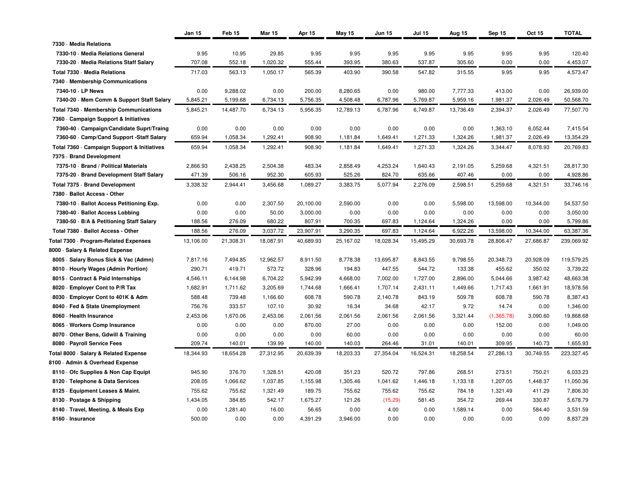|                                             | Jan 15    | Feb 15    | <b>Mar 15</b> | Apr 15    | <b>May 15</b> | <b>Jun 15</b> | <b>Jul 15</b> | Aug 15    | Sep 15     | Oct 15    | <b>TOTAL</b> |
|---------------------------------------------|-----------|-----------|---------------|-----------|---------------|---------------|---------------|-----------|------------|-----------|--------------|
| 7330 - Media Relations                      |           |           |               |           |               |               |               |           |            |           |              |
| 7330-10 - Media Relations General           | 9.95      | 10.95     | 29.85         | 9.95      | 9.95          | 9.95          | 9.95          | 9.95      | 9.95       | 9.95      | 120.40       |
| 7330-20 - Media Relations Staff Salary      | 707.08    | 552.18    | 1,020.32      | 555.44    | 393.95        | 380.63        | 537.87        | 305.60    | 0.00       | 0.00      | 4,453.07     |
| Total 7330 - Media Relations                | 717.03    | 563.13    | 1,050.17      | 565.39    | 403.90        | 390.58        | 547.82        | 315.55    | 9.95       | 9.95      | 4,573.47     |
| 7340 Membership Communications              |           |           |               |           |               |               |               |           |            |           |              |
| 7340-10 - LP News                           | 0.00      | 9,288.02  | 0.00          | 200.00    | 8,280.65      | 0.00          | 980.00        | 7,777.33  | 413.00     | 0.00      | 26,939.00    |
| 7340-20 Mem Comm & Support Staff Salary     | 5,845.21  | 5,199.68  | 6,734.13      | 5,756.35  | 4,508.48      | 6,787.96      | 5,769.87      | 5,959.16  | 1,981.37   | 2,026.49  | 50,568.70    |
| Total 7340 - Membership Communications      | 5,845.21  | 14,487.70 | 6,734.13      | 5,956.35  | 12,789.13     | 6,787.96      | 6,749.87      | 13,736.49 | 2,394.37   | 2,026.49  | 77,507.70    |
| 7360 Campaign Support & Initiatives         |           |           |               |           |               |               |               |           |            |           |              |
| 7360-40 Campaign/Candidate Suprt/Traing     | 0.00      | 0.00      | 0.00          | 0.00      | 0.00          | 0.00          | 0.00          | 0.00      | 1,363.10   | 6,052.44  | 7,415.54     |
| 7360-60 - Camp/Cand Support -Staff Salary   | 659.94    | 1,058.34  | 1,292.41      | 908.90    | 1,181.84      | 1,649.41      | 1,271.33      | 1,324.26  | 1,981.37   | 2,026.49  | 13,354.29    |
| Total 7360 - Campaign Support & Initiatives | 659.94    | 1,058.34  | 1,292.41      | 908.90    | 1,181.84      | 1,649.41      | 1,271.33      | 1,324.26  | 3,344.47   | 8,078.93  | 20,769.83    |
| 7375 - Brand Development                    |           |           |               |           |               |               |               |           |            |           |              |
| 7375-10 - Brand / Political Materials       | 2,866.93  | 2,438.25  | 2,504.38      | 483.34    | 2,858.49      | 4,253.24      | 1,640.43      | 2,191.05  | 5,259.68   | 4,321.51  | 28,817.30    |
| 7375-20 Brand Development Staff Salary      | 471.39    | 506.16    | 952.30        | 605.93    | 525.26        | 824.70        | 635.66        | 407.46    | 0.00       | 0.00      | 4,928.86     |
| Total 7375 - Brand Development              | 3,338.32  | 2,944.41  | 3,456.68      | 1,089.27  | 3,383.75      | 5,077.94      | 2,276.09      | 2,598.51  | 5,259.68   | 4,321.51  | 33,746.16    |
| 7380 · Ballot Access - Other                |           |           |               |           |               |               |               |           |            |           |              |
| 7380-10 Ballot Access Petitioning Exp.      | 0.00      | 0.00      | 2,307.50      | 20,100.00 | 2,590.00      | 0.00          | 0.00          | 5,598.00  | 13,598.00  | 10,344.00 | 54,537.50    |
| 7380-40 · Ballot Access Lobbing             | 0.00      | 0.00      | 50.00         | 3,000.00  | 0.00          | 0.00          | 0.00          | 0.00      | 0.00       | 0.00      | 3,050.00     |
| 7380-50 · B/A & Petitioning Staff Salary    | 188.56    | 276.09    | 680.22        | 807.91    | 700.35        | 697.83        | 1,124.64      | 1,324.26  | 0.00       | 0.00      | 5,799.86     |
| Total 7380 - Ballot Access - Other          | 188.56    | 276.09    | 3,037.72      | 23,907.91 | 3,290.35      | 697.83        | 1,124.64      | 6,922.26  | 13,598.00  | 10,344.00 | 63,387.36    |
| Total 7300 · Program-Related Expenses       | 13,106.00 | 21,308.31 | 18,087.91     | 40,689.93 | 25,167.02     | 18,028.34     | 15,495.29     | 30,693.78 | 28,806.47  | 27,686.87 | 239,069.92   |
| 8000 · Salary & Related Expense             |           |           |               |           |               |               |               |           |            |           |              |
| 8005 · Salary Bonus Sick & Vac (Admn)       | 7,817.16  | 7,494.85  | 12,962.57     | 8,911.50  | 8,778.38      | 13,695.87     | 8,843.55      | 9,798.55  | 20,348.73  | 20,928.09 | 119,579.25   |
| 8010 - Hourly Wages (Admin Portion)         | 290.71    | 419.71    | 573.72        | 328.96    | 194.83        | 447.55        | 544.72        | 133.38    | 455.62     | 350.02    | 3,739.22     |
| 8015 Contract & Paid Internships            | 4,546.11  | 6,144.98  | 6,704.22      | 5,942.99  | 4,668.00      | 7,002.00      | 1,727.00      | 2,896.00  | 5,044.66   | 3,987.42  | 48,663.38    |
| 8020 - Employer Cont to P/R Tax             | 1,682.91  | 1,711.62  | 3,205.69      | 1,744.68  | 1,666.41      | 1,707.14      | 2,431.11      | 1,449.66  | 1,717.43   | 1,661.91  | 18,978.56    |
| 8030 · Employer Cont to 401K & Adm          | 588.48    | 739.48    | 1,166.60      | 608.78    | 590.78        | 2,140.78      | 843.19        | 509.78    | 608.78     | 590.78    | 8,387.43     |
| 8040 · Fed & State Unemployment             | 756.76    | 333.57    | 107.10        | 30.92     | 16.34         | 34.68         | 42.17         | 9.72      | 14.74      | 0.00      | 1,346.00     |
| 8060 - Health Insurance                     | 2,453.06  | 1,670.06  | 2,453.06      | 2,061.56  | 2,061.56      | 2,061.56      | 2,061.56      | 3,321.44  | (1,365.78) | 3,090.60  | 19,868.68    |
| 8065 · Workers Comp Insurance               | 0.00      | 0.00      | 0.00          | 870.00    | 27.00         | 0.00          | 0.00          | 0.00      | 152.00     | 0.00      | 1,049.00     |
| 8070 Other Bens, Gdwill & Training          | 0.00      | 0.00      | 0.00          | 0.00      | 60.00         | 0.00          | 0.00          | 0.00      | 0.00       | 0.00      | 60.00        |
| 8080 · Payroll Service Fees                 | 209.74    | 140.01    | 139.99        | 140.00    | 140.03        | 264.46        | 31.01         | 140.01    | 309.95     | 140.73    | 1,655.93     |
| Total 8000 · Salary & Related Expense       | 18,344.93 | 18,654.28 | 27,312.95     | 20,639.39 | 18,203.33     | 27,354.04     | 16,524.31     | 18,258.54 | 27,286.13  | 30,749.55 | 223,327.45   |
| 8100 · Admin & Overhead Expense             |           |           |               |           |               |               |               |           |            |           |              |
| 8110 Ofc Supplies & Non Cap Equipt          | 945.90    | 376.70    | 1,328.51      | 420.08    | 351.23        | 520.72        | 797.86        | 268.51    | 273.51     | 750.21    | 6,033.23     |
| 8120 · Telephone & Data Services            | 208.05    | 1,066.62  | 1,037.85      | 1,155.98  | 1,305.46      | 1,041.62      | 1,446.18      | 1,133.18  | 1,207.05   | 1,448.37  | 11,050.36    |
| 8125 · Equipment Leases & Maint.            | 755.62    | 755.62    | 1,321.49      | 189.75    | 755.62        | 755.62        | 755.62        | 784.18    | 1,321.49   | 411.29    | 7,806.30     |
| 8130 · Postage & Shipping                   | 1,434.05  | 384.85    | 542.17        | 1,675.27  | 121.26        | (15.29)       | 581.45        | 354.72    | 269.44     | 330.87    | 5,678.79     |
| 8140 · Travel, Meeting, & Meals Exp         | 0.00      | 1,281.40  | 16.00         | 56.65     | 0.00          | 4.00          | 0.00          | 1,589.14  | 0.00       | 584.40    | 3,531.59     |
| 8160 - Insurance                            | 500.00    | 0.00      | 0.00          | 4,391.29  | 3,946.00      | 0.00          | 0.00          | 0.00      | 0.00       | 0.00      | 8,837.29     |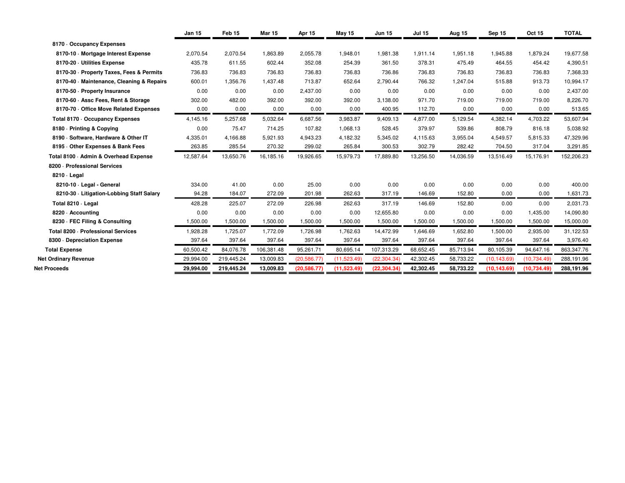|                                           | <b>Jan 15</b> | Feb <sub>15</sub> | <b>Mar 15</b> | Apr 15       | May 15      | <b>Jun 15</b> | <b>Jul 15</b> | Aug 15    | Sep 15       | Oct 15       | <b>TOTAL</b> |
|-------------------------------------------|---------------|-------------------|---------------|--------------|-------------|---------------|---------------|-----------|--------------|--------------|--------------|
| 8170 Occupancy Expenses                   |               |                   |               |              |             |               |               |           |              |              |              |
| 8170-10 Mortgage Interest Expense         | 2,070.54      | 2,070.54          | 1,863.89      | 2,055.78     | 1,948.01    | 1,981.38      | 1,911.14      | 1,951.18  | 1,945.88     | 1,879.24     | 19,677.58    |
| 8170-20 - Utilities Expense               | 435.78        | 611.55            | 602.44        | 352.08       | 254.39      | 361.50        | 378.31        | 475.49    | 464.55       | 454.42       | 4,390.51     |
| 8170-30 · Property Taxes, Fees & Permits  | 736.83        | 736.83            | 736.83        | 736.83       | 736.83      | 736.86        | 736.83        | 736.83    | 736.83       | 736.83       | 7,368.33     |
| 8170-40 Maintenance, Cleaning & Repairs   | 600.01        | 1,356.76          | 1,437.48      | 713.87       | 652.64      | 2,790.44      | 766.32        | 1,247.04  | 515.88       | 913.73       | 10,994.17    |
| 8170-50 - Property Insurance              | 0.00          | 0.00              | 0.00          | 2,437.00     | 0.00        | 0.00          | 0.00          | 0.00      | 0.00         | 0.00         | 2,437.00     |
| 8170-60 - Assc Fees, Rent & Storage       | 302.00        | 482.00            | 392.00        | 392.00       | 392.00      | 3,138.00      | 971.70        | 719.00    | 719.00       | 719.00       | 8,226.70     |
| 8170-70 Office Move Related Expenses      | 0.00          | 0.00              | 0.00          | 0.00         | 0.00        | 400.95        | 112.70        | 0.00      | 0.00         | 0.00         | 513.65       |
| Total 8170 - Occupancy Expenses           | 4,145.16      | 5,257.68          | 5,032.64      | 6,687.56     | 3,983.87    | 9,409.13      | 4.877.00      | 5,129.54  | 4,382.14     | 4,703.22     | 53,607.94    |
| 8180 - Printing & Copying                 | 0.00          | 75.47             | 714.25        | 107.82       | 1,068.13    | 528.45        | 379.97        | 539.86    | 808.79       | 816.18       | 5,038.92     |
| 8190 - Software, Hardware & Other IT      | 4,335.01      | 4,166.88          | 5,921.93      | 4,943.23     | 4,182.32    | 5,345.02      | 4,115.63      | 3,955.04  | 4,549.57     | 5,815.33     | 47,329.96    |
| 8195 Other Expenses & Bank Fees           | 263.85        | 285.54            | 270.32        | 299.02       | 265.84      | 300.53        | 302.79        | 282.42    | 704.50       | 317.04       | 3,291.85     |
| Total 8100 · Admin & Overhead Expense     | 12,587.64     | 13,650.76         | 16,185.16     | 19,926.65    | 15,979.73   | 17,889.80     | 13,256.50     | 14,036.59 | 13,516.49    | 15,176.91    | 152,206.23   |
| 8200 - Professional Services              |               |                   |               |              |             |               |               |           |              |              |              |
| 8210 · Legal                              |               |                   |               |              |             |               |               |           |              |              |              |
| 8210-10 · Legal - General                 | 334.00        | 41.00             | 0.00          | 25.00        | 0.00        | 0.00          | 0.00          | 0.00      | 0.00         | 0.00         | 400.00       |
| 8210-30 - Litigation-Lobbing Staff Salary | 94.28         | 184.07            | 272.09        | 201.98       | 262.63      | 317.19        | 146.69        | 152.80    | 0.00         | 0.00         | 1,631.73     |
| Total 8210 - Legal                        | 428.28        | 225.07            | 272.09        | 226.98       | 262.63      | 317.19        | 146.69        | 152.80    | 0.00         | 0.00         | 2,031.73     |
| 8220 - Accounting                         | 0.00          | 0.00              | 0.00          | 0.00         | 0.00        | 12,655.80     | 0.00          | 0.00      | 0.00         | 1,435.00     | 14,090.80    |
| 8230 - FEC Filing & Consulting            | 1,500.00      | 1,500.00          | 1,500.00      | 1,500.00     | 1,500.00    | 1,500.00      | 1,500.00      | 1,500.00  | 1,500.00     | 1,500.00     | 15,000.00    |
| Total 8200 - Professional Services        | 1,928.28      | 1,725.07          | 1,772.09      | 1,726.98     | 1,762.63    | 14,472.99     | 1.646.69      | 1.652.80  | 1,500.00     | 2,935.00     | 31,122.53    |
| 8300 Depreciation Expense                 | 397.64        | 397.64            | 397.64        | 397.64       | 397.64      | 397.64        | 397.64        | 397.64    | 397.64       | 397.64       | 3,976.40     |
| <b>Total Expense</b>                      | 60,500.42     | 84,076.78         | 106,381.48    | 95,261.71    | 80,695.14   | 107,313.29    | 68,652.45     | 85,713.94 | 80,105.39    | 94,647.16    | 863,347.76   |
| <b>Net Ordinary Revenue</b>               | 29,994.00     | 219,445.24        | 13,009.83     | (20, 586.77) | (11,523.49) | (22, 304.34)  | 42,302.45     | 58,733.22 | (10, 143.69) | (10, 734.49) | 288,191.96   |
| Net Proceeds                              | 29,994.00     | 219,445.24        | 13,009.83     | (20, 586.77) | (11,523.49) | (22, 304.34)  | 42,302.45     | 58,733.22 | (10, 143.69) | (10, 734.49) | 288,191.96   |
|                                           |               |                   |               |              |             |               |               |           |              |              |              |

**Net**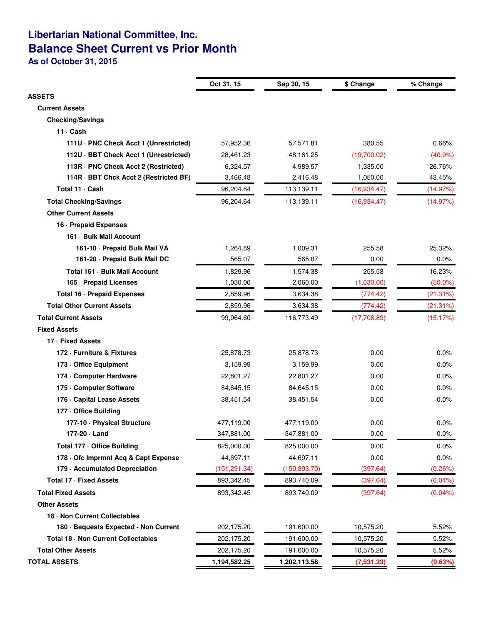# **Libertarian National Committee, Inc. Balance Sheet Current vs Prior Month**

**As of October 31, 2015**

|                                        | Oct 31, 15    | Sep 30, 15    | \$ Change   | % Change   |
|----------------------------------------|---------------|---------------|-------------|------------|
| <b>ASSETS</b>                          |               |               |             |            |
| <b>Current Assets</b>                  |               |               |             |            |
| <b>Checking/Savings</b>                |               |               |             |            |
| 11 Cash                                |               |               |             |            |
| 111U · PNC Check Acct 1 (Unrestricted) | 57,952.36     | 57,571.81     | 380.55      | 0.66%      |
| 112U · BBT Check Acct 1 (Unrestricted) | 28,461.23     | 48,161.25     | (19,700.02) | (40.9%     |
| 113R · PNC Check Acct 2 (Restricted)   | 6,324.57      | 4,989.57      | 1,335.00    | 26.76%     |
| 114R · BBT Chck Acct 2 (Restricted BF) | 3,466.48      | 2,416.48      | 1,050.00    | 43.45%     |
| Total 11 Cash                          | 96,204.64     | 113,139.11    | (16,934.47) | (14.97%)   |
| <b>Total Checking/Savings</b>          | 96,204.64     | 113,139.11    | (16,934.47) | (14.97%)   |
| <b>Other Current Assets</b>            |               |               |             |            |
| 16 - Prepaid Expenses                  |               |               |             |            |
| 161 - Bulk Mail Account                |               |               |             |            |
| 161-10 - Prepaid Bulk Mail VA          | 1,264.89      | 1,009.31      | 255.58      | 25.32%     |
| 161-20 - Prepaid Bulk Mail DC          | 565.07        | 565.07        | 0.00        | 0.0%       |
| Total 161 - Bulk Mail Account          | 1,829.96      | 1,574.38      | 255.58      | 16.23%     |
| 165 - Prepaid Licenses                 | 1,030.00      | 2,060.00      | (1,030.00)  | $(50.0\%)$ |
| Total 16 - Prepaid Expenses            | 2,859.96      | 3,634.38      | (774.42)    | (21.31%)   |
| <b>Total Other Current Assets</b>      | 2.859.96      | 3,634.38      | (774.42)    | (21.31%)   |
| <b>Total Current Assets</b>            | 99,064.60     | 116,773.49    | (17,708.89) | (15.17%)   |
| <b>Fixed Assets</b>                    |               |               |             |            |
| 17 · Fixed Assets                      |               |               |             |            |
| 172 - Furniture & Fixtures             | 25,878.73     | 25,878.73     | 0.00        | 0.0%       |
| 173 - Office Equipment                 | 3,159.99      | 3,159.99      | 0.00        | $0.0\%$    |
| 174 - Computer Hardware                | 22,801.27     | 22,801.27     | 0.00        | 0.0%       |
| 175 - Computer Software                | 84,645.15     | 84,645.15     | 0.00        | 0.0%       |
| 176 - Capital Lease Assets             | 38,451.54     | 38,451.54     | 0.00        | 0.0%       |
| 177 - Office Building                  |               |               |             |            |
| 177-10 - Physical Structure            | 477,119.00    | 477,119.00    | 0.00        | $0.0\%$    |
| 177-20 · Land                          | 347,881.00    | 347,881.00    | 0.00        | 0.0%       |
| Total 177 - Office Building            | 825,000.00    | 825,000.00    | 0.00        | $0.0\%$    |
| 178 Ofc Imprmnt Acq & Capt Expense     | 44,697.11     | 44,697.11     | 0.00        | 0.0%       |
| 179 - Accumulated Depreciation         | (151, 291.34) | (150, 893.70) | (397.64)    | (0.26%)    |
| <b>Total 17 - Fixed Assets</b>         | 893,342.45    | 893,740.09    | (397.64)    | $(0.04\%)$ |
| <b>Total Fixed Assets</b>              | 893,342.45    | 893,740.09    | (397.64)    | $(0.04\%)$ |
| <b>Other Assets</b>                    |               |               |             |            |
| 18 - Non Current Collectables          |               |               |             |            |
| 180 · Bequests Expected - Non Current  | 202,175.20    | 191,600.00    | 10,575.20   | 5.52%      |
| Total 18 - Non Current Collectables    | 202,175.20    | 191,600.00    | 10,575.20   | 5.52%      |
| <b>Total Other Assets</b>              | 202,175.20    | 191,600.00    | 10,575.20   | 5.52%      |
| <b>TOTAL ASSETS</b>                    | 1,194,582.25  | 1,202,113.58  | (7,531.33)  | (0.63%)    |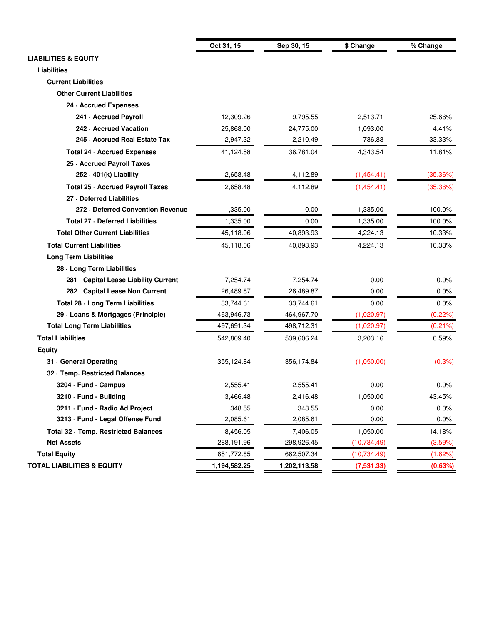|                                        | Oct 31, 15   | Sep 30, 15   | \$ Change    | % Change   |
|----------------------------------------|--------------|--------------|--------------|------------|
| <b>LIABILITIES &amp; EQUITY</b>        |              |              |              |            |
| <b>Liabilities</b>                     |              |              |              |            |
| <b>Current Liabilities</b>             |              |              |              |            |
| <b>Other Current Liabilities</b>       |              |              |              |            |
| 24 - Accrued Expenses                  |              |              |              |            |
| 241 - Accrued Payroll                  | 12,309.26    | 9,795.55     | 2,513.71     | 25.66%     |
| 242 - Accrued Vacation                 | 25,868.00    | 24,775.00    | 1,093.00     | 4.41%      |
| 245 Accrued Real Estate Tax            | 2,947.32     | 2,210.49     | 736.83       | 33.33%     |
| Total 24 · Accrued Expenses            | 41,124.58    | 36,781.04    | 4,343.54     | 11.81%     |
| 25 - Accrued Payroll Taxes             |              |              |              |            |
| $252 \cdot 401(k)$ Liability           | 2,658.48     | 4,112.89     | (1,454.41)   | (35.36%)   |
| Total 25 · Accrued Payroll Taxes       | 2,658.48     | 4,112.89     | (1,454.41)   | (35.36%)   |
| 27 - Deferred Liabilities              |              |              |              |            |
| 272 - Deferred Convention Revenue      | 1,335.00     | 0.00         | 1,335.00     | 100.0%     |
| Total 27 - Deferred Liabilities        | 1,335.00     | 0.00         | 1,335.00     | 100.0%     |
| <b>Total Other Current Liabilities</b> | 45,118.06    | 40,893.93    | 4,224.13     | 10.33%     |
| <b>Total Current Liabilities</b>       | 45,118.06    | 40,893.93    | 4,224.13     | 10.33%     |
| <b>Long Term Liabilities</b>           |              |              |              |            |
| 28 - Long Term Liabilities             |              |              |              |            |
| 281 - Capital Lease Liability Current  | 7,254.74     | 7,254.74     | 0.00         | 0.0%       |
| 282 - Capital Lease Non Current        | 26,489.87    | 26,489.87    | 0.00         | 0.0%       |
| Total 28 - Long Term Liabilities       | 33,744.61    | 33,744.61    | 0.00         | $0.0\%$    |
| 29 - Loans & Mortgages (Principle)     | 463,946.73   | 464,967.70   | (1,020.97)   | (0.22%)    |
| <b>Total Long Term Liabilities</b>     | 497,691.34   | 498,712.31   | (1,020.97)   | $(0.21\%)$ |
| <b>Total Liabilities</b>               | 542,809.40   | 539,606.24   | 3,203.16     | 0.59%      |
| <b>Equity</b>                          |              |              |              |            |
| 31 General Operating                   | 355,124.84   | 356,174.84   | (1,050.00)   | (0.3%)     |
| 32 · Temp. Restricted Balances         |              |              |              |            |
| 3204 · Fund - Campus                   | 2,555.41     | 2,555.41     | 0.00         | $0.0\%$    |
| 3210 Fund - Building                   | 3,466.48     | 2,416.48     | 1,050.00     | 43.45%     |
| 3211 Fund - Radio Ad Project           | 348.55       | 348.55       | 0.00         | 0.0%       |
| 3213 · Fund - Legal Offense Fund       | 2,085.61     | 2,085.61     | 0.00         | $0.0\%$    |
| Total 32 · Temp. Restricted Balances   | 8,456.05     | 7,406.05     | 1,050.00     | 14.18%     |
| <b>Net Assets</b>                      | 288,191.96   | 298,926.45   | (10, 734.49) | (3.59%)    |
| <b>Total Equity</b>                    | 651,772.85   | 662,507.34   | (10, 734.49) | (1.62%)    |
| <b>TOTAL LIABILITIES &amp; EQUITY</b>  | 1,194,582.25 | 1,202,113.58 | (7,531.33)   | (0.63%)    |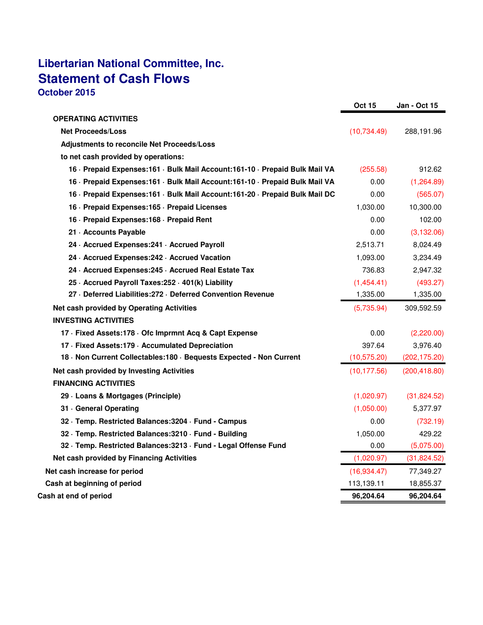# **Libertarian National Committee, Inc. Statement of Cash Flows October 2015**

|                                                                               | <b>Oct 15</b> | <b>Jan - Oct 15</b> |
|-------------------------------------------------------------------------------|---------------|---------------------|
| <b>OPERATING ACTIVITIES</b>                                                   |               |                     |
| <b>Net Proceeds/Loss</b>                                                      | (10, 734.49)  | 288,191.96          |
| Adjustments to reconcile Net Proceeds/Loss                                    |               |                     |
| to net cash provided by operations:                                           |               |                     |
| 16 · Prepaid Expenses: 161 · Bulk Mail Account: 161-10 · Prepaid Bulk Mail VA | (255.58)      | 912.62              |
| 16 · Prepaid Expenses: 161 · Bulk Mail Account: 161-10 · Prepaid Bulk Mail VA | 0.00          | (1,264.89)          |
| 16 · Prepaid Expenses: 161 · Bulk Mail Account: 161-20 · Prepaid Bulk Mail DC | 0.00          | (565.07)            |
| 16 - Prepaid Expenses: 165 - Prepaid Licenses                                 | 1,030.00      | 10,300.00           |
| 16 - Prepaid Expenses: 168 - Prepaid Rent                                     | 0.00          | 102.00              |
| 21 - Accounts Payable                                                         | 0.00          | (3, 132.06)         |
| 24 · Accrued Expenses: 241 · Accrued Payroll                                  | 2,513.71      | 8,024.49            |
| 24 - Accrued Expenses: 242 - Accrued Vacation                                 | 1,093.00      | 3,234.49            |
| 24 Accrued Expenses: 245 Accrued Real Estate Tax                              | 736.83        | 2,947.32            |
| 25 · Accrued Payroll Taxes: 252 · 401(k) Liability                            | (1,454.41)    | (493.27)            |
| 27 Deferred Liabilities: 272 Deferred Convention Revenue                      | 1,335.00      | 1,335.00            |
| Net cash provided by Operating Activities                                     | (5,735.94)    | 309,592.59          |
| <b>INVESTING ACTIVITIES</b>                                                   |               |                     |
| 17 Fixed Assets: 178 Ofc Imprmnt Acq & Capt Expense                           | 0.00          | (2,220.00)          |
| 17 Fixed Assets: 179 - Accumulated Depreciation                               | 397.64        | 3,976.40            |
| 18 Non Current Collectables: 180 Bequests Expected - Non Current              | (10, 575.20)  | (202, 175.20)       |
| Net cash provided by Investing Activities                                     | (10, 177.56)  | (200, 418.80)       |
| <b>FINANCING ACTIVITIES</b>                                                   |               |                     |
| 29 - Loans & Mortgages (Principle)                                            | (1,020.97)    | (31,824.52)         |
| 31 General Operating                                                          | (1,050.00)    | 5,377.97            |
| 32 · Temp. Restricted Balances: 3204 · Fund - Campus                          | 0.00          | (732.19)            |
| 32 · Temp. Restricted Balances: 3210 · Fund - Building                        | 1,050.00      | 429.22              |
| 32 · Temp. Restricted Balances: 3213 · Fund - Legal Offense Fund              | 0.00          | (5,075.00)          |
| Net cash provided by Financing Activities                                     | (1,020.97)    | (31,824.52)         |
| Net cash increase for period                                                  | (16,934.47)   | 77,349.27           |
| Cash at beginning of period                                                   | 113,139.11    | 18,855.37           |
| Cash at end of period                                                         | 96,204.64     | 96,204.64           |